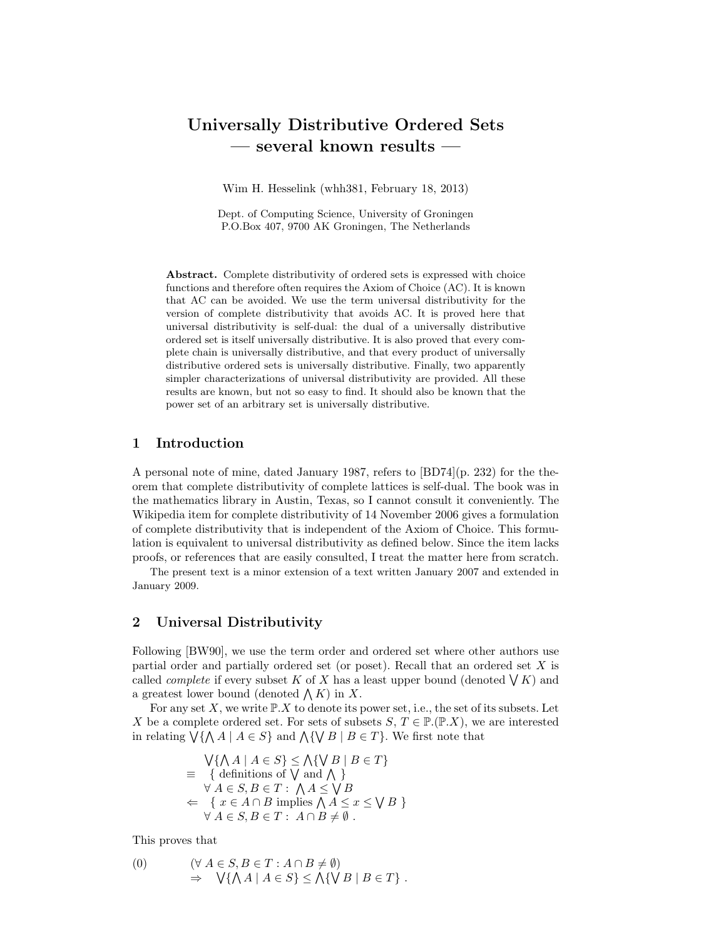# Universally Distributive Ordered Sets — several known results —

Wim H. Hesselink (whh381, February 18, 2013)

Dept. of Computing Science, University of Groningen P.O.Box 407, 9700 AK Groningen, The Netherlands

Abstract. Complete distributivity of ordered sets is expressed with choice functions and therefore often requires the Axiom of Choice (AC). It is known that AC can be avoided. We use the term universal distributivity for the version of complete distributivity that avoids AC. It is proved here that universal distributivity is self-dual: the dual of a universally distributive ordered set is itself universally distributive. It is also proved that every complete chain is universally distributive, and that every product of universally distributive ordered sets is universally distributive. Finally, two apparently simpler characterizations of universal distributivity are provided. All these results are known, but not so easy to find. It should also be known that the power set of an arbitrary set is universally distributive.

### 1 Introduction

A personal note of mine, dated January 1987, refers to [BD74](p. 232) for the theorem that complete distributivity of complete lattices is self-dual. The book was in the mathematics library in Austin, Texas, so I cannot consult it conveniently. The Wikipedia item for complete distributivity of 14 November 2006 gives a formulation of complete distributivity that is independent of the Axiom of Choice. This formulation is equivalent to universal distributivity as defined below. Since the item lacks proofs, or references that are easily consulted, I treat the matter here from scratch.

The present text is a minor extension of a text written January 2007 and extended in January 2009.

# 2 Universal Distributivity

Following [BW90], we use the term order and ordered set where other authors use partial order and partially ordered set (or poset). Recall that an ordered set X is called *complete* if every subset K of X has a least upper bound (denoted  $\bigvee K$ ) and a greatest lower bound (denoted  $\bigwedge K$ ) in X.

For any set  $X$ , we write  $\mathbb{P}.X$  to denote its power set, i.e., the set of its subsets. Let X be a complete ordered set. For sets of subsets  $S, T \in \mathbb{P}(\mathbb{P} \mathcal{X})$ , we are interested in relating  $\bigvee {\{\bigwedge A \mid A \in S\}}$  and  $\bigwedge {\{\bigvee B \mid B \in T\}}$ . We first note that

$$
\begin{aligned}\n\bigvee \{ \bigwedge A \mid A \in S \} &\leq \bigwedge \{ \bigvee B \mid B \in T \} \\
&\equiv \{ \text{ definitions of } \bigvee \text{ and } \bigwedge \} \\
\forall A \in S, B \in T : \bigwedge A \leq \bigvee B \\
&\Leftarrow \{ x \in A \cap B \text{ implies } \bigwedge A \leq x \leq \bigvee B \} \\
\forall A \in S, B \in T : A \cap B \neq \emptyset.\n\end{aligned}
$$

This proves that

(0) 
$$
(\forall A \in S, B \in T : A \cap B \neq \emptyset) \Rightarrow \forall \{\bigwedge A \mid A \in S\} \leq \bigwedge \{\bigvee B \mid B \in T\}.
$$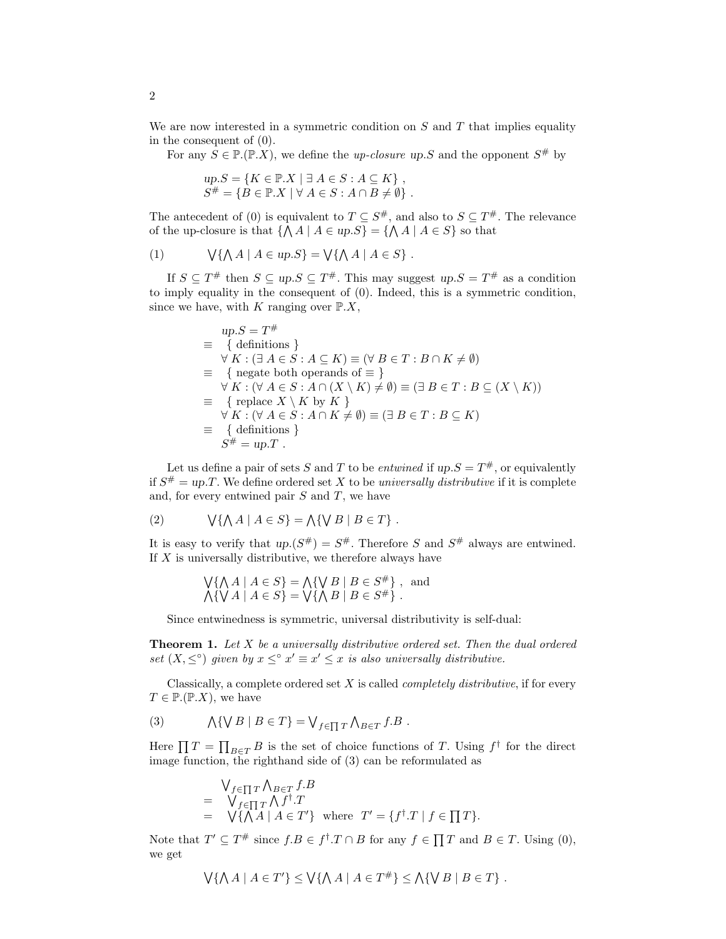We are now interested in a symmetric condition on  $S$  and  $T$  that implies equality in the consequent of (0).

For any  $S \in \mathbb{P} \cdot (\mathbb{P} \cdot X)$ , we define the *up-closure up.S* and the opponent  $S^{\#}$  by

$$
up.S = \{ K \in \mathbb{P}.X \mid \exists A \in S : A \subseteq K \},
$$
  

$$
S^{\#} = \{ B \in \mathbb{P}.X \mid \forall A \in S : A \cap B \neq \emptyset \}.
$$

The antecedent of (0) is equivalent to  $T \subseteq S^{\#}$ , and also to  $S \subseteq T^{\#}$ . The relevance of the up-closure is that  $\{\bigwedge A \mid A \in up.S\} = \{\bigwedge A \mid A \in S\}$  so that

(1) 
$$
\bigvee \{ \bigwedge A \mid A \in up.S \} = \bigvee \{ \bigwedge A \mid A \in S \} .
$$

If  $S \subseteq T^{\#}$  then  $S \subseteq up.S \subseteq T^{\#}$ . This may suggest  $up.S = T^{\#}$  as a condition to imply equality in the consequent of (0). Indeed, this is a symmetric condition, since we have, with K ranging over  $\mathbb{P}.X$ ,

$$
\begin{aligned}\n\text{up.S} &= T^{\#} \\
&= \{ \text{ definitions } \} \\
\forall K : (\exists A \in S : A \subseteq K) \equiv (\forall B \in T : B \cap K \neq \emptyset) \\
&= \{ \text{negative both operands of } \equiv \} \\
\forall K : (\forall A \in S : A \cap (X \setminus K) \neq \emptyset) \equiv (\exists B \in T : B \subseteq (X \setminus K)) \\
&= \{ \text{replace } X \setminus K \text{ by } K \} \\
\forall K : (\forall A \in S : A \cap K \neq \emptyset) \equiv (\exists B \in T : B \subseteq K) \\
&= \{ \text{definitions } \} \\
S^{\#} &= \text{up.T} \ .\n\end{aligned}
$$

Let us define a pair of sets S and T to be *entwined* if  $up.S = T^{\#}$ , or equivalently if  $S^{\#} = up.T$ . We define ordered set X to be universally distributive if it is complete and, for every entwined pair  $S$  and  $T$ , we have

(2) 
$$
\bigvee \{ \bigwedge A \mid A \in S \} = \bigwedge \{ \bigvee B \mid B \in T \}.
$$

It is easy to verify that  $up(S^{\#}) = S^{\#}$ . Therefore S and  $S^{\#}$  always are entwined. If  $X$  is universally distributive, we therefore always have

$$
\begin{aligned} \n\bigvee \{ \bigwedge A \mid A \in S \} &= \bigwedge \{ \bigvee B \mid B \in S^{\#} \} \; , \text{ and} \\ \n\bigwedge \{ \bigvee A \mid A \in S \} &= \bigvee \{ \bigwedge B \mid B \in S^{\#} \} \; . \n\end{aligned}
$$

Since entwinedness is symmetric, universal distributivity is self-dual:

**Theorem 1.** Let  $X$  be a universally distributive ordered set. Then the dual ordered set  $(X, \leq^{\circ})$  given by  $x \leq^{\circ} x' \equiv x' \leq x$  is also universally distributive.

Classically, a complete ordered set  $X$  is called *completely distributive*, if for every  $T \in \mathbb{P}(\mathbb{P} \cdot X)$ , we have

(3) 
$$
\bigwedge \{ \bigvee B \mid B \in T \} = \bigvee_{f \in \prod T} \bigwedge_{B \in T} f.B.
$$

Here  $\prod T = \prod_{B \in T} B$  is the set of choice functions of T. Using  $f^{\dagger}$  for the direct image function, the righthand side of (3) can be reformulated as

$$
\begin{array}{lll}\n\bigvee_{f \in \prod T} \bigwedge_{B \in T} f.B \\
= & \bigvee_{f \in \prod T} \bigwedge f^{\dagger}.T \\
= & \bigvee \{ \bigwedge A \mid A \in T' \} \text{ where } T' = \{ f^{\dagger}.T \mid f \in \prod T \}.\n\end{array}
$$

Note that  $T' \subseteq T^{\#}$  since  $f.B \in f^{\dagger}.T \cap B$  for any  $f \in \prod T$  and  $B \in T$ . Using (0), we get

$$
\bigvee \{ \bigwedge A \mid A \in T' \} \leq \bigvee \{ \bigwedge A \mid A \in T^{\#} \} \leq \bigwedge \{ \bigvee B \mid B \in T \} .
$$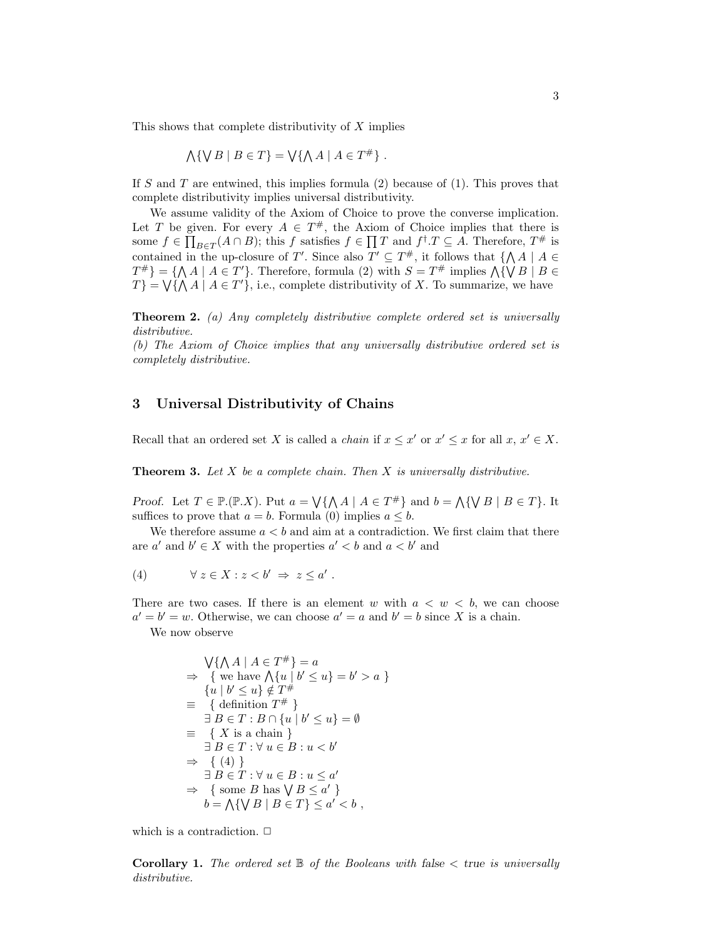This shows that complete distributivity of  $X$  implies

$$
\bigwedge \{ \bigvee B \mid B \in T \} = \bigvee \{ \bigwedge A \mid A \in T^{\#} \} .
$$

If S and T are entwined, this implies formula  $(2)$  because of  $(1)$ . This proves that complete distributivity implies universal distributivity.

We assume validity of the Axiom of Choice to prove the converse implication. Let T be given. For every  $A \in T^{\#}$ , the Axiom of Choice implies that there is some  $f \in \prod_{B \in T} (A \cap B)$ ; this f satisfies  $f \in \prod T$  and  $f^{\dagger} . T \subseteq A$ . Therefore,  $T^{\#}$  is contained in the up-closure of T'. Since also  $T' \subseteq T^{\#}$ , it follows that  $\{\bigwedge A \mid A \in$  $T^{\#}$ } = { $\bigwedge A \mid A \in T'$ }. Therefore, formula (2) with  $S = T^{\#}$  implies  $\bigwedge \{ \bigvee B \mid B \in T \}$  $T$ } =  $\bigvee {\{\bigwedge A \mid A \in T'\}}$ , i.e., complete distributivity of X. To summarize, we have

**Theorem 2.** (a) Any completely distributive complete ordered set is universally distributive.

(b) The Axiom of Choice implies that any universally distributive ordered set is completely distributive.

# 3 Universal Distributivity of Chains

Recall that an ordered set X is called a *chain* if  $x \leq x'$  or  $x' \leq x$  for all  $x, x' \in X$ .

**Theorem 3.** Let  $X$  be a complete chain. Then  $X$  is universally distributive.

Proof. Let  $T \in \mathbb{P}(\mathbb{P} \cdot X)$ . Put  $a = \bigvee \{ \bigwedge A \mid A \in T^{\#} \}$  and  $b = \bigwedge \{ \bigvee B \mid B \in T \}$ . It suffices to prove that  $a = b$ . Formula (0) implies  $a \leq b$ .

We therefore assume  $a < b$  and aim at a contradiction. We first claim that there are  $a'$  and  $b' \in X$  with the properties  $a' < b$  and  $a < b'$  and

(4) 
$$
\forall z \in X : z < b' \Rightarrow z \leq a' .
$$

There are two cases. If there is an element w with  $a < w < b$ , we can choose  $a' = b' = w$ . Otherwise, we can choose  $a' = a$  and  $b' = b$  since X is a chain.

We now observe

$$
\begin{aligned}\n\bigvee \{ \bigwedge A \mid A \in T^{\#} \} &= a \\
\Rightarrow \quad \{ \text{ we have } \bigwedge \{ u \mid b' \le u \} = b' > a \} \\
\{ u \mid b' \le u \} &\notin T^{\#} \\
\equiv \quad \{ \text{definition } T^{\#} \} \\
\exists B \in T : B \cap \{ u \mid b' \le u \} = \emptyset \\
\equiv \quad \{ X \text{ is a chain } \} \\
\exists B \in T : \forall u \in B : u < b' \\
\Rightarrow \quad \{ (4) \} \\
\exists B \in T : \forall u \in B : u \le a' \\
\Rightarrow \quad \{ \text{ some } B \text{ has } \forall B \le a' \} \\
b &= \bigwedge \{ \forall B \mid B \in T \} \le a' < b \n\end{aligned}
$$

which is a contradiction.  $\Box$ 

**Corollary 1.** The ordered set  $\mathbb B$  of the Booleans with false  $\lt$  true is universally distributive.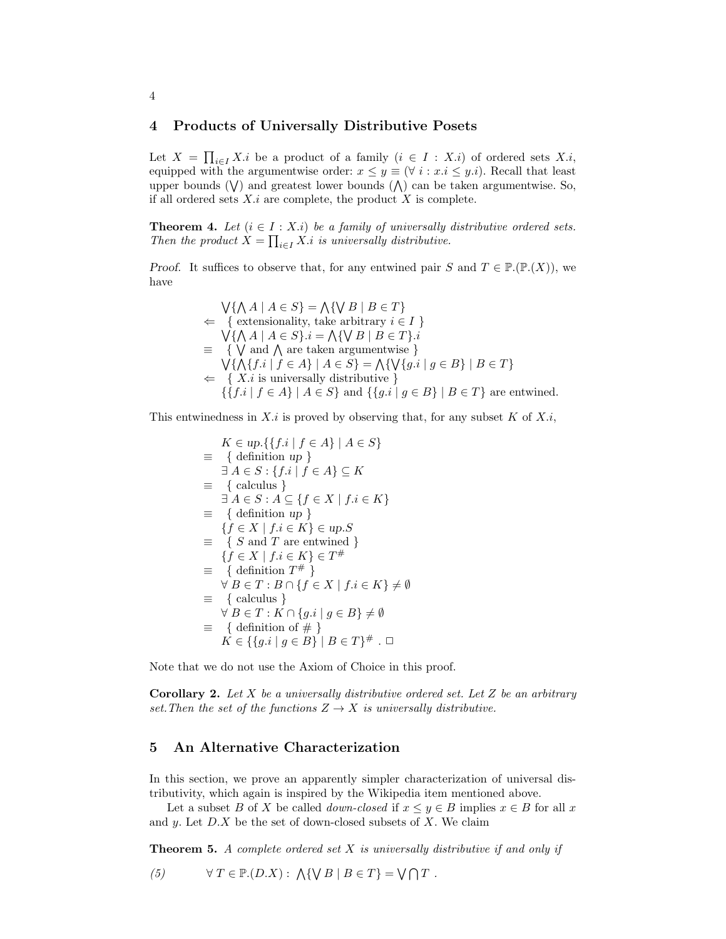#### 4 Products of Universally Distributive Posets

Let  $X = \prod_{i \in I} X_i$  be a product of a family  $(i \in I : X_i)$  of ordered sets X.i, equipped with the argumentwise order:  $x \leq y \equiv (\forall i : x.i \leq y.i)$ . Recall that least upper bounds  $(V)$  and greatest lower bounds  $(V)$  can be taken argumentwise. So, if all ordered sets  $X_i$  are complete, the product X is complete.

**Theorem 4.** Let  $(i \in I : X.i)$  be a family of universally distributive ordered sets. Then the product  $X = \prod_{i \in I} X_i$  is universally distributive.

Proof. It suffices to observe that, for any entwined pair S and  $T \in \mathbb{P}(\mathbb{P}(X))$ , we have

$$
\begin{aligned}\n\bigvee \{\bigwedge A \mid A \in S\} &= \bigwedge \{\bigvee B \mid B \in T\} \\
&\Leftarrow \{ \text{ extensionality, take arbitrary } i \in I \} \\
\bigvee \{\bigwedge A \mid A \in S\}.i &= \bigwedge \{\bigvee B \mid B \in T\}.i \\
&\equiv \{ \bigvee \text{ and } \bigwedge \text{ are taken argumentwise } \} \\
\bigvee \{\bigwedge \{f.i \mid f \in A\} \mid A \in S\} &= \bigwedge \{\bigvee \{g.i \mid g \in B\} \mid B \in T\} \\
&\Leftarrow \{ X.i \text{ is universally distributive } \} \\
\{\{f.i \mid f \in A\} \mid A \in S\} \text{ and } \{\{g.i \mid g \in B\} \mid B \in T\} \text{ are entwined.}\n\end{aligned}
$$

This entwinedness in  $X_i$  is proved by observing that, for any subset  $K$  of  $X_i$ ,

$$
K \in up. \{\{f.i \mid f \in A\} \mid A \in S\}
$$
  
\n
$$
\equiv \{ \text{ definition } up \}
$$
  
\n
$$
\exists A \in S : \{f.i \mid f \in A\} \subseteq K
$$
  
\n
$$
\equiv \{ \text{ calculus } \}
$$
  
\n
$$
\exists A \in S : A \subseteq \{f \in X \mid f.i \in K\}
$$
  
\n
$$
\equiv \{ \text{definition } up \}
$$
  
\n
$$
\{f \in X \mid f.i \in K\} \in up.S
$$
  
\n
$$
\equiv \{ S \text{ and } T \text{ are entwined } \}
$$
  
\n
$$
\{f \in X \mid f.i \in K\} \in T^{\#}
$$
  
\n
$$
\equiv \{ \text{definition } T^{\#} \}
$$
  
\n
$$
\forall B \in T : B \cap \{f \in X \mid f.i \in K\} \neq \emptyset
$$
  
\n
$$
\equiv \{ \text{ calculus } \}
$$
  
\n
$$
\forall B \in T : K \cap \{g.i \mid g \in B\} \neq \emptyset
$$
  
\n
$$
\equiv \{ \text{definition of } \# \}
$$
  
\n
$$
K \in \{\{g.i \mid g \in B\} \mid B \in T\}^{\#} \cdot \square
$$

Note that we do not use the Axiom of Choice in this proof.

**Corollary 2.** Let X be a universally distributive ordered set. Let Z be an arbitrary set. Then the set of the functions  $Z \to X$  is universally distributive.

### 5 An Alternative Characterization

In this section, we prove an apparently simpler characterization of universal distributivity, which again is inspired by the Wikipedia item mentioned above.

Let a subset B of X be called *down-closed* if  $x \leq y \in B$  implies  $x \in B$  for all x and y. Let  $D.X$  be the set of down-closed subsets of X. We claim

**Theorem 5.** A complete ordered set  $X$  is universally distributive if and only if

(5) 
$$
\forall T \in \mathbb{P}.(D.X): \bigwedge \{ \forall B \mid B \in T \} = \bigvee \bigcap T.
$$

#### 4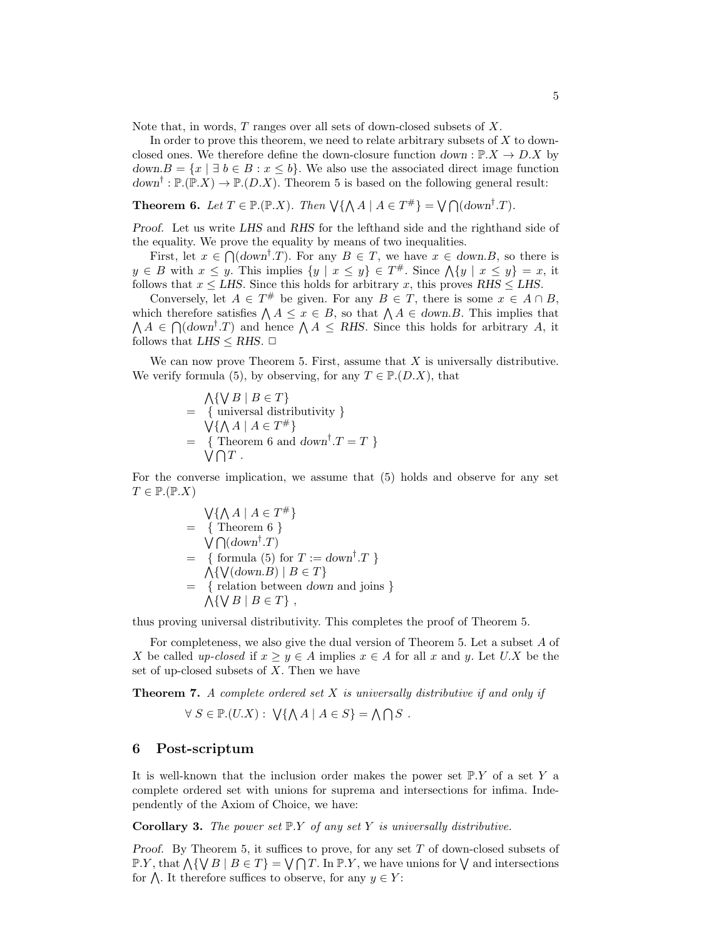Note that, in words, T ranges over all sets of down-closed subsets of X.

In order to prove this theorem, we need to relate arbitrary subsets of X to downclosed ones. We therefore define the down-closure function  $down: \mathbb{P}.X \to D.X$  by  $down.B = \{x \mid \exists b \in B : x \leq b\}.$  We also use the associated direct image function  $down^{\dagger} : \mathbb{P}.(\mathbb{P}.X) \to \mathbb{P}.(D.X)$ . Theorem 5 is based on the following general result:

**Theorem 6.** Let  $T \in \mathbb{P} \times (\mathbb{P} \times X)$ . Then  $\forall \{\bigwedge A \mid A \in T^{\#}\} = \bigvee \bigcap (down^{\dagger}.T)$ .

Proof. Let us write LHS and RHS for the lefthand side and the righthand side of the equality. We prove the equality by means of two inequalities.

First, let  $x \in \bigcap_{i=1}^{\infty} (down^{\dagger}.T)$ . For any  $B \in T$ , we have  $x \in down.B$ , so there is  $y \in B$  with  $x \leq y$ . This implies  $\{y \mid x \leq y\} \in T^{\#}$ . Since  $\bigwedge \{y \mid x \leq y\} = x$ , it follows that  $x \leq LHS$ . Since this holds for arbitrary x, this proves RHS  $\leq LHS$ .

Conversely, let  $A \in T^{\#}$  be given. For any  $B \in T$ , there is some  $x \in A \cap B$ , which therefore satisfies  $\bigwedge A \leq x \in B$ , so that  $\bigwedge A \in \text{down}.B$ . This implies that  $\Lambda A \in \bigcap (down^{\dagger}.T)$  and hence  $\Lambda A \le RHS$ . Since this holds for arbitrary A, it follows that  $LHS \leq RHS$ .  $\Box$ 

We can now prove Theorem 5. First, assume that  $X$  is universally distributive. We verify formula (5), by observing, for any  $T \in \mathbb{P}\,(D.X)$ , that

$$
\begin{aligned}\n&\bigwedge\{\bigvee B \mid B \in T\} \\
&= \{ \text{ universal distributivity } \} \\
&\bigvee\{\bigwedge A \mid A \in T^{\#}\} \\
&= \{ \text{ Theorem 6 and } down^{\dagger}.T = T \} \\
&\bigvee \bigcap T .\n\end{aligned}
$$

For the converse implication, we assume that (5) holds and observe for any set  $T \in \mathbb{P}(\mathbb{P}.X)$ 

$$
\sqrt{\{\bigwedge A \mid A \in T^* \}}
$$
\n= { Theorem 6 }\n
$$
\sqrt{\bigcap (down^{\dagger}.T \big)}
$$
\n= { formula (5) for  $T := down^{\dagger}.T$ }\n
$$
\wedge \{\sqrt{\bigdownarrow(down.B) \mid B \in T \}}
$$
\n= { relation between down and joins }\n
$$
\wedge \{\n \vee B \mid B \in T \},
$$

thus proving universal distributivity. This completes the proof of Theorem 5.

For completeness, we also give the dual version of Theorem 5. Let a subset A of X be called up-closed if  $x \geq y \in A$  implies  $x \in A$  for all x and y. Let U.X be the set of up-closed subsets of  $X$ . Then we have

**Theorem 7.** A complete ordered set  $X$  is universally distributive if and only if

$$
\forall S \in \mathbb{P}. (U.X): \sqrt{\{\bigwedge A \mid A \in S\}} = \bigwedge \bigcap S .
$$

### 6 Post-scriptum

It is well-known that the inclusion order makes the power set  $\mathbb{P}.Y$  of a set Y a complete ordered set with unions for suprema and intersections for infima. Independently of the Axiom of Choice, we have:

**Corollary 3.** The power set  $\mathbb{P}.Y$  of any set Y is universally distributive.

*Proof.* By Theorem 5, it suffices to prove, for any set  $T$  of down-closed subsets of  $\mathbb{P}.Y$ , that  $\bigwedge \{ \bigvee B \mid B \in T \} = \bigvee \bigcap T$ . In  $\mathbb{P}.Y$ , we have unions for  $\bigvee$  and intersections for  $\bigwedge$ . It therefore suffices to observe, for any  $y \in Y$ :